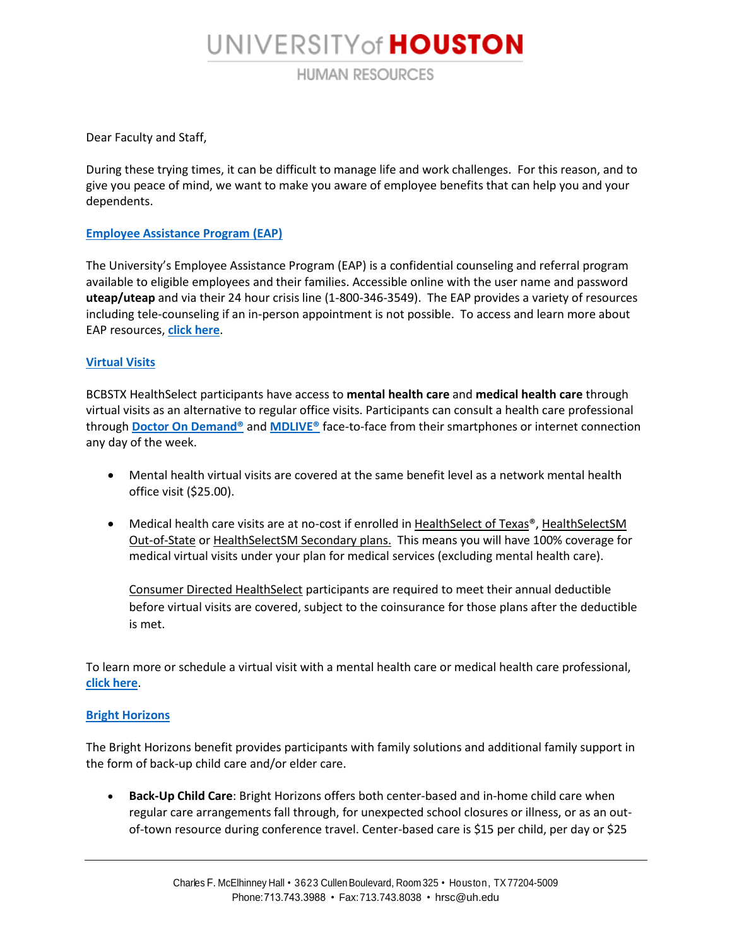# UNIVERSITY of **HOUSTON**

**HUMAN RESOURCES** 

Dear Faculty and Staff,

During these trying times, it can be difficult to manage life and work challenges. For this reason, and to give you peace of mind, we want to make you aware of employee benefits that can help you and your dependents.

### **[Employee Assistance Program \(EAP\)](https://www.mylifevalues.com/login)**

The University's Employee Assistance Program (EAP) is a confidential counseling and referral program available to eligible employees and their families. Accessible online with the user name and password **uteap/uteap** and via their 24 hour crisis line (1-800-346-3549). The EAP provides a variety of resources including tele-counseling if an in-person appointment is not possible. To access and learn more about EAP resources, **[click here](https://uh.edu/human-resources/PowerUP-Wellness/EAP/)**.

#### **[Virtual Visits](https://healthselect.bcbstx.com/content/medical-benefits/virtual-visits)**

BCBSTX HealthSelect participants have access to **mental health care** and **medical health care** through virtual visits as an alternative to regular office visits. Participants can consult a health care professional through **[Doctor On Demand®](https://www.doctorondemand.com/)** and **[MDLIVE®](https://members.mdlive.com/healthselect/landing_home)** face-to-face from their smartphones or internet connection any day of the week.

- Mental health virtual visits are covered at the same benefit level as a network mental health office visit (\$25.00).
- Medical health care visits are at no-cost if enrolled in HealthSelect of Texas®, HealthSelectSM Out-of-State or HealthSelectSM Secondary plans. This means you will have 100% coverage for medical virtual visits under your plan for medical services (excluding mental health care).

Consumer Directed HealthSelect participants are required to meet their annual deductible before virtual visits are covered, subject to the coinsurance for those plans after the deductible is met.

To learn more or schedule a virtual visit with a mental health care or medical health care professional, **[click here](https://healthselect.bcbstx.com/content/medical-benefits/virtual-visits)**.

#### **[Bright Horizons](https://clients.brighthorizons.com/uh)**

The Bright Horizons benefit provides participants with family solutions and additional family support in the form of back-up child care and/or elder care.

 **Back-Up Child Care**: Bright Horizons offers both center-based and in-home child care when regular care arrangements fall through, for unexpected school closures or illness, or as an outof-town resource during conference travel. Center-based care is \$15 per child, per day or \$25